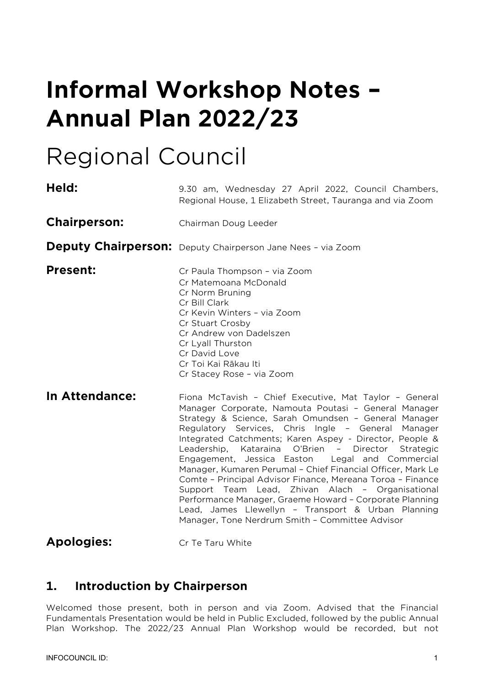# **Informal Workshop Notes – Annual Plan 2022/23**

# Regional Council

| Held:               | 9.30 am, Wednesday 27 April 2022, Council Chambers,<br>Regional House, 1 Elizabeth Street, Tauranga and via Zoom                                                                                                                                                                                                                                                                                                                                                                                                                                                                                                                                                                                                                                                                 |  |  |
|---------------------|----------------------------------------------------------------------------------------------------------------------------------------------------------------------------------------------------------------------------------------------------------------------------------------------------------------------------------------------------------------------------------------------------------------------------------------------------------------------------------------------------------------------------------------------------------------------------------------------------------------------------------------------------------------------------------------------------------------------------------------------------------------------------------|--|--|
| <b>Chairperson:</b> | Chairman Doug Leeder                                                                                                                                                                                                                                                                                                                                                                                                                                                                                                                                                                                                                                                                                                                                                             |  |  |
|                     | Deputy Chairperson: Deputy Chairperson Jane Nees - via Zoom                                                                                                                                                                                                                                                                                                                                                                                                                                                                                                                                                                                                                                                                                                                      |  |  |
| <b>Present:</b>     | Cr Paula Thompson - via Zoom<br>Cr Matemoana McDonald<br>Cr Norm Bruning<br>Cr Bill Clark<br>Cr Kevin Winters - via Zoom<br>Cr Stuart Crosby<br>Cr Andrew von Dadelszen<br>Cr Lyall Thurston<br>Cr David Love<br>Cr Toi Kai Rākau Iti<br>Cr Stacey Rose - via Zoom                                                                                                                                                                                                                                                                                                                                                                                                                                                                                                               |  |  |
| In Attendance:      | Fiona McTavish - Chief Executive, Mat Taylor - General<br>Manager Corporate, Namouta Poutasi - General Manager<br>Strategy & Science, Sarah Omundsen - General Manager<br>Regulatory Services, Chris Ingle - General Manager<br>Integrated Catchments; Karen Aspey - Director, People &<br>Leadership,<br>Kataraina<br>O'Brien<br>Director<br>Strategic<br>$\sim$ $-$<br>Engagement, Jessica Easton<br>Legal and Commercial<br>Manager, Kumaren Perumal - Chief Financial Officer, Mark Le<br>Comte - Principal Advisor Finance, Mereana Toroa - Finance<br>Support Team Lead, Zhivan Alach - Organisational<br>Performance Manager, Graeme Howard - Corporate Planning<br>Lead, James Llewellyn - Transport & Urban Planning<br>Manager, Tone Nerdrum Smith - Committee Advisor |  |  |

## **Apologies:** Cr Te Taru White

# **1. Introduction by Chairperson**

Welcomed those present, both in person and via Zoom. Advised that the Financial Fundamentals Presentation would be held in Public Excluded, followed by the public Annual Plan Workshop. The 2022/23 Annual Plan Workshop would be recorded, but not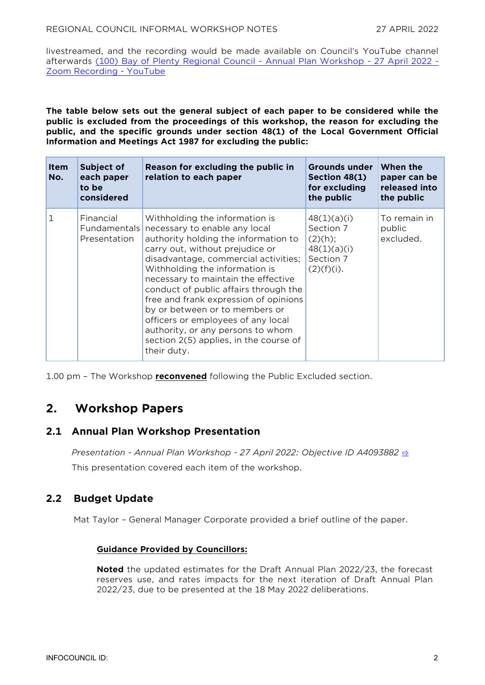livestreamed, and the recording would be made available on Council's YouTube channel afterwards [\(100\) Bay of Plenty Regional Council -](https://www.youtube.com/watch?v=EIQDvm121jk) Annual Plan Workshop - 27 April 2022 - [Zoom Recording -](https://www.youtube.com/watch?v=EIQDvm121jk) YouTube

**The table below sets out the general subject of each paper to be considered while the public is excluded from the proceedings of this workshop, the reason for excluding the public, and the specific grounds under section 48(1) of the Local Government Official Information and Meetings Act 1987 for excluding the public:**

| <b>Item</b><br>No. | Subject of<br>each paper<br>to be<br>considered | Reason for excluding the public in<br>relation to each paper                                                                                                                                                                                                                                                                                                                                                                                                                                                        | <b>Grounds under</b><br>Section 48(1)<br>for excluding<br>the public             | When the<br>paper can be<br>released into<br>the public |
|--------------------|-------------------------------------------------|---------------------------------------------------------------------------------------------------------------------------------------------------------------------------------------------------------------------------------------------------------------------------------------------------------------------------------------------------------------------------------------------------------------------------------------------------------------------------------------------------------------------|----------------------------------------------------------------------------------|---------------------------------------------------------|
| 1                  | Financial<br>Fundamentals<br>Presentation       | Withholding the information is<br>necessary to enable any local<br>authority holding the information to<br>carry out, without prejudice or<br>disadvantage, commercial activities;<br>Withholding the information is<br>necessary to maintain the effective<br>conduct of public affairs through the<br>free and frank expression of opinions<br>by or between or to members or<br>officers or employees of any local<br>authority, or any persons to whom<br>section 2(5) applies, in the course of<br>their duty. | 48(1)(a)(i)<br>Section 7<br>(2)(h);<br>48(1)(a)(i)<br>Section 7<br>$(2)(f)(i)$ . | To remain in<br>public<br>excluded.                     |

1.00 pm – The Workshop **reconvened** following the Public Excluded section.

# **2. Workshop Papers**

## **2.1 Annual Plan Workshop Presentation**

*Presentation - Annual Plan Workshop - 27 April 2022: Objective ID A4093882* [⇨](../../../RedirectToInvalidFileName.aspx?FileName=RCW_20220427_MAT_3536.PDF#PAGE=2) This presentation covered each item of the workshop.

## **2.2 Budget Update**

Mat Taylor – General Manager Corporate provided a brief outline of the paper.

#### **Guidance Provided by Councillors:**

**Noted** the updated estimates for the Draft Annual Plan 2022/23, the forecast reserves use, and rates impacts for the next iteration of Draft Annual Plan 2022/23, due to be presented at the 18 May 2022 deliberations.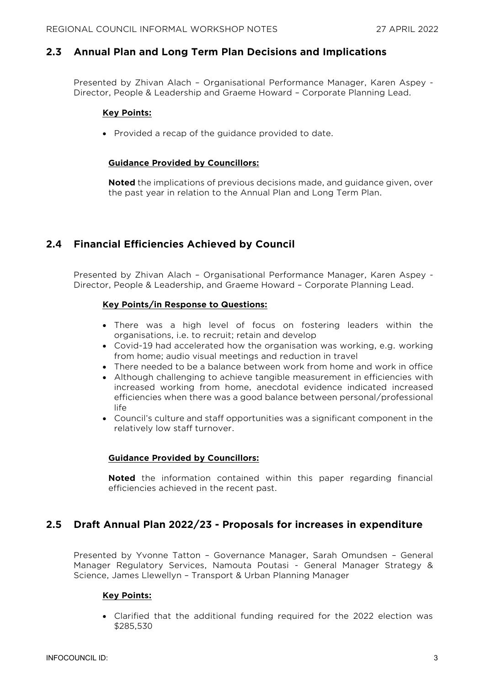## **2.3 Annual Plan and Long Term Plan Decisions and Implications**

Presented by Zhivan Alach – Organisational Performance Manager, Karen Aspey - Director, People & Leadership and Graeme Howard – Corporate Planning Lead.

#### **Key Points:**

• Provided a recap of the guidance provided to date.

#### **Guidance Provided by Councillors:**

**Noted** the implications of previous decisions made, and guidance given, over the past year in relation to the Annual Plan and Long Term Plan.

## **2.4 Financial Efficiencies Achieved by Council**

Presented by Zhivan Alach – Organisational Performance Manager, Karen Aspey - Director, People & Leadership, and Graeme Howard – Corporate Planning Lead.

#### **Key Points/in Response to Questions:**

- There was a high level of focus on fostering leaders within the organisations, i.e. to recruit; retain and develop
- Covid-19 had accelerated how the organisation was working, e.g. working from home; audio visual meetings and reduction in travel
- There needed to be a balance between work from home and work in office
- Although challenging to achieve tangible measurement in efficiencies with increased working from home, anecdotal evidence indicated increased efficiencies when there was a good balance between personal/professional life
- Council's culture and staff opportunities was a significant component in the relatively low staff turnover.

#### **Guidance Provided by Councillors:**

**Noted** the information contained within this paper regarding financial efficiencies achieved in the recent past.

### **2.5 Draft Annual Plan 2022/23 - Proposals for increases in expenditure**

Presented by Yvonne Tatton – Governance Manager, Sarah Omundsen – General Manager Regulatory Services, Namouta Poutasi - General Manager Strategy & Science, James Llewellyn – Transport & Urban Planning Manager

#### **Key Points:**

• Clarified that the additional funding required for the 2022 election was \$285,530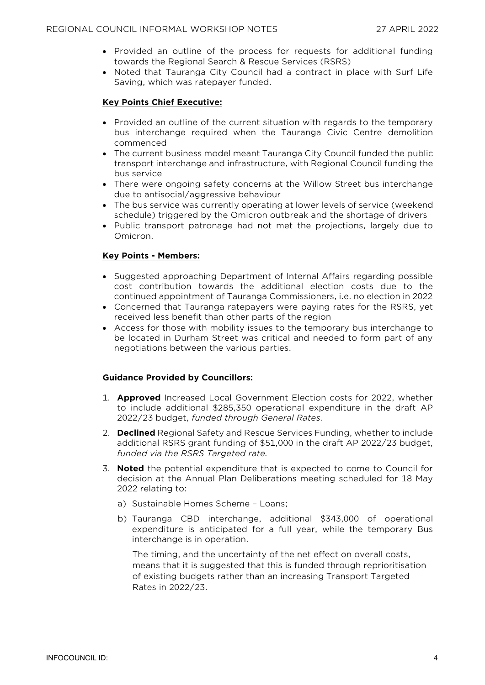- Provided an outline of the process for requests for additional funding towards the Regional Search & Rescue Services (RSRS)
- Noted that Tauranga City Council had a contract in place with Surf Life Saving, which was ratepayer funded.

#### **Key Points Chief Executive:**

- Provided an outline of the current situation with regards to the temporary bus interchange required when the Tauranga Civic Centre demolition commenced
- The current business model meant Tauranga City Council funded the public transport interchange and infrastructure, with Regional Council funding the bus service
- There were ongoing safety concerns at the Willow Street bus interchange due to antisocial/aggressive behaviour
- The bus service was currently operating at lower levels of service (weekend schedule) triggered by the Omicron outbreak and the shortage of drivers
- Public transport patronage had not met the projections, largely due to Omicron.

#### **Key Points - Members:**

- Suggested approaching Department of Internal Affairs regarding possible cost contribution towards the additional election costs due to the continued appointment of Tauranga Commissioners, i.e. no election in 2022
- Concerned that Tauranga ratepayers were paying rates for the RSRS, yet received less benefit than other parts of the region
- Access for those with mobility issues to the temporary bus interchange to be located in Durham Street was critical and needed to form part of any negotiations between the various parties.

#### **Guidance Provided by Councillors:**

- 1. **Approved** Increased Local Government Election costs for 2022, whether to include additional \$285,350 operational expenditure in the draft AP 2022/23 budget, *funded through General Rates*.
- 2. **Declined** Regional Safety and Rescue Services Funding, whether to include additional RSRS grant funding of \$51,000 in the draft AP 2022/23 budget, *funded via the RSRS Targeted rate.*
- 3. **Noted** the potential expenditure that is expected to come to Council for decision at the Annual Plan Deliberations meeting scheduled for 18 May 2022 relating to:
	- a) Sustainable Homes Scheme Loans;
	- b) Tauranga CBD interchange, additional \$343,000 of operational expenditure is anticipated for a full year, while the temporary Bus interchange is in operation.

The timing, and the uncertainty of the net effect on overall costs, means that it is suggested that this is funded through reprioritisation of existing budgets rather than an increasing Transport Targeted Rates in 2022/23.